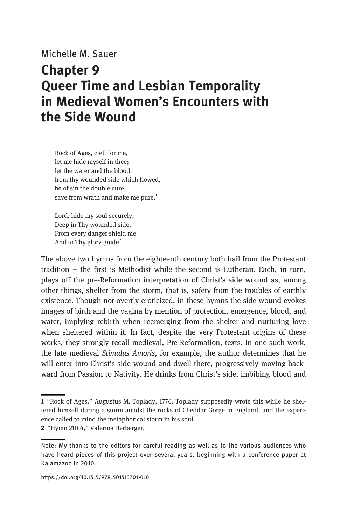Michelle M. Sauer

## Chapter 9 Queer Time and Lesbian Temporality in Medieval Women's Encounters with the Side Wound

Rock of Ages, cleft for me, let me hide myself in thee; let the water and the blood, from thy wounded side which flowed, be of sin the double cure; save from wrath and make me pure. $1$ 

Lord, hide my soul securely, Deep in Thy wounded side, From every danger shield me And to Thy glory guide<sup>2</sup>

The above two hymns from the eighteenth century both hail from the Protestant tradition – the first is Methodist while the second is Lutheran. Each, in turn, plays off the pre-Reformation interpretation of Christ's side wound as, among other things, shelter from the storm, that is, safety from the troubles of earthly existence. Though not overtly eroticized, in these hymns the side wound evokes images of birth and the vagina by mention of protection, emergence, blood, and water, implying rebirth when reemerging from the shelter and nurturing love when sheltered within it. In fact, despite the very Protestant origins of these works, they strongly recall medieval, Pre-Reformation, texts. In one such work, the late medieval Stimulus Amoris, for example, the author determines that he will enter into Christ's side wound and dwell there, progressively moving backward from Passion to Nativity. He drinks from Christ's side, imbibing blood and

<sup>1</sup> "Rock of Ages," Augustus M. Toplady, 1776. Toplady supposedly wrote this while he sheltered himself during a storm amidst the rocks of Cheddar Gorge in England, and the experience called to mind the metaphorical storm in his soul.

<sup>2</sup> "Hymn 210.4," Valerius Herberger.

Note: My thanks to the editors for careful reading as well as to the various audiences who have heard pieces of this project over several years, beginning with a conference paper at Kalamazoo in 2010.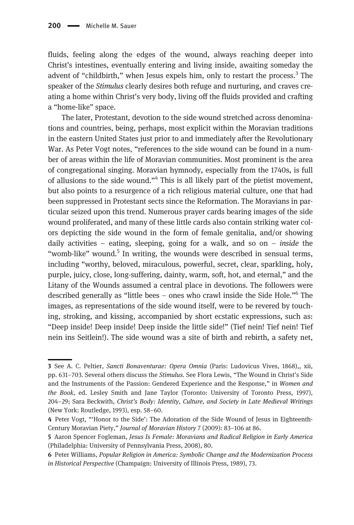fluids, feeling along the edges of the wound, always reaching deeper into Christ's intestines, eventually entering and living inside, awaiting someday the advent of "childbirth," when Jesus expels him, only to restart the process.<sup>3</sup> The speaker of the *Stimulus* clearly desires both refuge and nurturing, and craves creating a home within Christ's very body, living off the fluids provided and crafting a "home-like" space.

The later, Protestant, devotion to the side wound stretched across denominations and countries, being, perhaps, most explicit within the Moravian traditions in the eastern United States just prior to and immediately after the Revolutionary War. As Peter Vogt notes, "references to the side wound can be found in a number of areas within the life of Moravian communities. Most prominent is the area of congregational singing. Moravian hymnody, especially from the 1740s, is full of allusions to the side wound."<sup>4</sup> This is all likely part of the pietist movement, but also points to a resurgence of a rich religious material culture, one that had been suppressed in Protestant sects since the Reformation. The Moravians in particular seized upon this trend. Numerous prayer cards bearing images of the side wound proliferated, and many of these little cards also contain striking water colors depicting the side wound in the form of female genitalia, and/or showing daily activities – eating, sleeping, going for a walk, and so on – *inside* the "womb-like" wound. $5$  In writing, the wounds were described in sensual terms, including "worthy, beloved, miraculous, powerful, secret, clear, sparkling, holy, purple, juicy, close, long-suffering, dainty, warm, soft, hot, and eternal," and the Litany of the Wounds assumed a central place in devotions. The followers were described generally as "little bees – ones who crawl inside the Side Hole."<sup>6</sup> The images, as representations of the side wound itself, were to be revered by touching, stroking, and kissing, accompanied by short ecstatic expressions, such as: "Deep inside! Deep inside! Deep inside the little side!" (Tief nein! Tief nein! Tief nein ins Seitlein!). The side wound was a site of birth and rebirth, a safety net,

<sup>3</sup> See A. C. Peltier, Sancti Bonaventurae: Opera Omnia (Paris: Ludovicus Vives, 1868),, xii, pp. 631–703. Several others discuss the Stimulus. See Flora Lewis, "The Wound in Christ's Side and the Instruments of the Passion: Gendered Experience and the Response," in Women and the Book, ed. Lesley Smith and Jane Taylor (Toronto: University of Toronto Press, 1997), 204–29; Sara Beckwith, Christ's Body: Identity, Culture, and Society in Late Medieval Writings (New York: Routledge, 1993), esp. 58–60.

<sup>4</sup> Peter Vogt, "'Honor to the Side': The Adoration of the Side Wound of Jesus in Eighteenth-Century Moravian Piety," Journal of Moravian History 7 (2009): 83–106 at 86.

<sup>5</sup> Aaron Spencer Fogleman, Jesus Is Female: Moravians and Radical Religion in Early America (Philadelphia: University of Pennsylvania Press, 2008), 80.

<sup>6</sup> Peter Williams, Popular Religion in America: Symbolic Change and the Modernization Process in Historical Perspective (Champaign: University of Illinois Press, 1989), 73.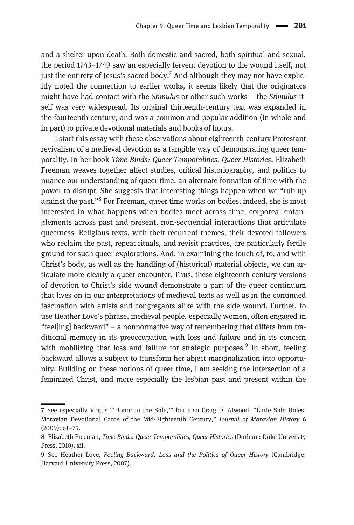and a shelter upon death. Both domestic and sacred, both spiritual and sexual, the period 1743–1749 saw an especially fervent devotion to the wound itself, not just the entirety of Jesus's sacred body.<sup>7</sup> And although they may not have explicitly noted the connection to earlier works, it seems likely that the originators might have had contact with the Stimulus or other such works - the Stimulus itself was very widespread. Its original thirteenth-century text was expanded in the fourteenth century, and was a common and popular addition (in whole and in part) to private devotional materials and books of hours.

I start this essay with these observations about eighteenth-century Protestant revivalism of a medieval devotion as a tangible way of demonstrating queer temporality. In her book Time Binds: Queer Temporalities, Queer Histories, Elizabeth Freeman weaves together affect studies, critical historiography, and politics to nuance our understanding of queer time, an alternate formation of time with the power to disrupt. She suggests that interesting things happen when we "rub up against the past."<sup>8</sup> For Freeman, queer time works on bodies; indeed, she is most interested in what happens when bodies meet across time, corporeal entanglements across past and present, non-sequential interactions that articulate queerness. Religious texts, with their recurrent themes, their devoted followers who reclaim the past, repeat rituals, and revisit practices, are particularly fertile ground for such queer explorations. And, in examining the touch of, to, and with Christ's body, as well as the handling of (historical) material objects, we can articulate more clearly a queer encounter. Thus, these eighteenth-century versions of devotion to Christ's side wound demonstrate a part of the queer continuum that lives on in our interpretations of medieval texts as well as in the continued fascination with artists and congregants alike with the side wound. Further, to use Heather Love's phrase, medieval people, especially women, often engaged in "feel[ing] backward" – a nonnormative way of remembering that differs from traditional memory in its preoccupation with loss and failure and in its concern with mobilizing that loss and failure for strategic purposes.<sup>9</sup> In short, feeling backward allows a subject to transform her abject marginalization into opportunity. Building on these notions of queer time, I am seeking the intersection of a feminized Christ, and more especially the lesbian past and present within the

<sup>7</sup> See especially Vogt's "'Honor to the Side,'" but also Craig D. Atwood, "Little Side Holes: Moravian Devotional Cards of the Mid-Eighteenth Century," Journal of Moravian History 6 (2009): 61–75.

<sup>8</sup> Elizabeth Freeman, Time Binds: Queer Temporalities, Queer Histories (Durham: Duke University Press, 2010), xii.

<sup>9</sup> See Heather Love, Feeling Backward: Loss and the Politics of Queer History (Cambridge: Harvard University Press, 2007).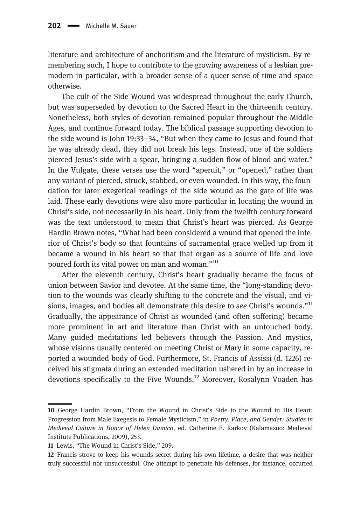literature and architecture of anchoritism and the literature of mysticism. By remembering such, I hope to contribute to the growing awareness of a lesbian premodern in particular, with a broader sense of a queer sense of time and space otherwise.

The cult of the Side Wound was widespread throughout the early Church, but was superseded by devotion to the Sacred Heart in the thirteenth century. Nonetheless, both styles of devotion remained popular throughout the Middle Ages, and continue forward today. The biblical passage supporting devotion to the side wound is John 19:33–34, "But when they came to Jesus and found that he was already dead, they did not break his legs. Instead, one of the soldiers pierced Jesus's side with a spear, bringing a sudden flow of blood and water." In the Vulgate, these verses use the word "aperuit," or "opened," rather than any variant of pierced, struck, stabbed, or even wounded. In this way, the foundation for later exegetical readings of the side wound as the gate of life was laid. These early devotions were also more particular in locating the wound in Christ's side, not necessarily in his heart. Only from the twelfth century forward was the text understood to mean that Christ's heart was pierced. As George Hardin Brown notes, "What had been considered a wound that opened the interior of Christ's body so that fountains of sacramental grace welled up from it became a wound in his heart so that that organ as a source of life and love poured forth its vital power on man and woman."<sup>10</sup>

After the eleventh century, Christ's heart gradually became the focus of union between Savior and devotee. At the same time, the "long-standing devotion to the wounds was clearly shifting to the concrete and the visual, and visions, images, and bodies all demonstrate this desire to see Christ's wounds."<sup>11</sup> Gradually, the appearance of Christ as wounded (and often suffering) became more prominent in art and literature than Christ with an untouched body. Many guided meditations led believers through the Passion. And mystics, whose visions usually centered on meeting Christ or Mary in some capacity, reported a wounded body of God. Furthermore, St. Francis of Assissi (d. 1226) received his stigmata during an extended meditation ushered in by an increase in devotions specifically to the Five Wounds.<sup>12</sup> Moreover, Rosalynn Voaden has

<sup>10</sup> George Hardin Brown, "From the Wound in Christ's Side to the Wound in His Heart: Progression from Male Exegesis to Female Mysticism," in Poetry, Place, and Gender: Studies in Medieval Culture in Honor of Helen Damico, ed. Catherine E. Karkov (Kalamazoo: Medieval Institute Publications, 2009), 253.

<sup>11</sup> Lewis, "The Wound in Christ's Side," 209.

<sup>12</sup> Francis strove to keep his wounds secret during his own lifetime, a desire that was neither truly successful nor unsuccessful. One attempt to penetrate his defenses, for instance, occurred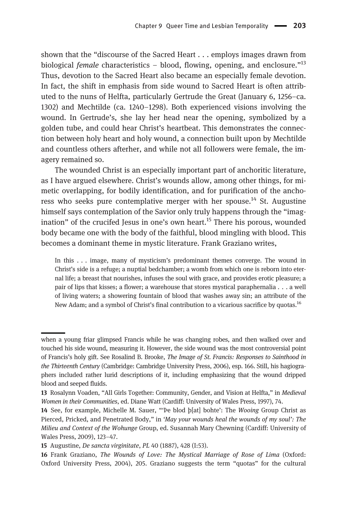shown that the "discourse of the Sacred Heart . . . employs images drawn from biological *female* characteristics – blood, flowing, opening, and enclosure.<sup>"13</sup> Thus, devotion to the Sacred Heart also became an especially female devotion. In fact, the shift in emphasis from side wound to Sacred Heart is often attributed to the nuns of Helfta, particularly Gertrude the Great (January 6, 1256–ca. 1302) and Mechtilde (ca. 1240–1298). Both experienced visions involving the wound. In Gertrude's, she lay her head near the opening, symbolized by a golden tube, and could hear Christ's heartbeat. This demonstrates the connection between holy heart and holy wound, a connection built upon by Mechtilde and countless others afterher, and while not all followers were female, the imagery remained so.

The wounded Christ is an especially important part of anchoritic literature, as I have argued elsewhere. Christ's wounds allow, among other things, for mimetic overlapping, for bodily identification, and for purification of the anchoress who seeks pure contemplative merger with her spouse.<sup>14</sup> St. Augustine himself says contemplation of the Savior only truly happens through the "imagination" of the crucifed Jesus in one's own heart.<sup>15</sup> There his porous, wounded body became one with the body of the faithful, blood mingling with blood. This becomes a dominant theme in mystic literature. Frank Graziano writes,

In this . . . image, many of mysticism's predominant themes converge. The wound in Christ's side is a refuge; a nuptial bedchamber; a womb from which one is reborn into eternal life; a breast that nourishes, infuses the soul with grace, and provides erotic pleasure; a pair of lips that kisses; a flower; a warehouse that stores mystical paraphernalia . . . a well of living waters; a showering fountain of blood that washes away sin; an attribute of the New Adam; and a symbol of Christ's final contribution to a vicarious sacrifice by quotas.16

when a young friar glimpsed Francis while he was changing robes, and then walked over and touched his side wound, measuring it. However, the side wound was the most controversial point of Francis's holy gift. See Rosalind B. Brooke, The Image of St. Francis: Responses to Sainthood in the Thirteenth Century (Cambridge: Cambridge University Press, 2006), esp. 166. Still, his hagiographers included rather lurid descriptions of it, including emphasizing that the wound dripped blood and seeped fluids.

<sup>13</sup> Rosalynn Voaden, "All Girls Together: Community, Gender, and Vision at Helfta," in Medieval Women in their Communities, ed. Diane Watt (Cardiff: University of Wales Press, 1997), 74.

<sup>14</sup> See, for example, Michelle M. Sauer, "'Þe blod þ[at] bohte': The Wooing Group Christ as Pierced, Pricked, and Penetrated Body," in 'May your wounds heal the wounds of my soul': The Milieu and Context of the Wohunge Group, ed. Susannah Mary Chewning (Cardiff: University of Wales Press, 2009), 123–47.

<sup>15</sup> Augustine, De sancta virginitate, PL 40 (1887), 428 (I:53).

<sup>16</sup> Frank Graziano, The Wounds of Love: The Mystical Marriage of Rose of Lima (Oxford: Oxford University Press, 2004), 205. Graziano suggests the term "quotas" for the cultural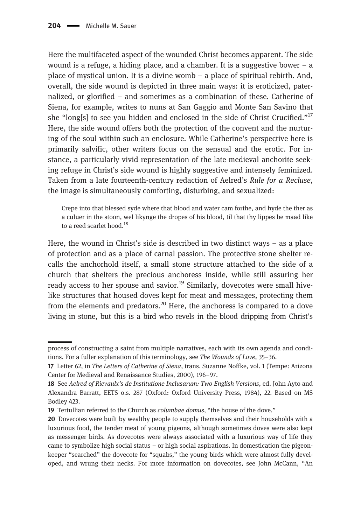Here the multifaceted aspect of the wounded Christ becomes apparent. The side wound is a refuge, a hiding place, and a chamber. It is a suggestive bower  $-$  a place of mystical union. It is a divine womb – a place of spiritual rebirth. And, overall, the side wound is depicted in three main ways: it is eroticized, paternalized, or glorified – and sometimes as a combination of these. Catherine of Siena, for example, writes to nuns at San Gaggio and Monte San Savino that she "long[s] to see you hidden and enclosed in the side of Christ Crucified."<sup>17</sup> Here, the side wound offers both the protection of the convent and the nurturing of the soul within such an enclosure. While Catherine's perspective here is primarily salvific, other writers focus on the sensual and the erotic. For instance, a particularly vivid representation of the late medieval anchorite seeking refuge in Christ's side wound is highly suggestive and intensely feminized. Taken from a late fourteenth-century redaction of Aelred's Rule for a Recluse, the image is simultaneously comforting, disturbing, and sexualized:

Crepe into that blessed syde where that blood and water cam forthe, and hyde the ther as a culuer in the stoon, wel likynge the dropes of his blood, til that thy lippes be maad like to a reed scarlet hood.<sup>18</sup>

Here, the wound in Christ's side is described in two distinct ways – as a place of protection and as a place of carnal passion. The protective stone shelter recalls the anchorhold itself, a small stone structure attached to the side of a church that shelters the precious anchoress inside, while still assuring her ready access to her spouse and savior.<sup>19</sup> Similarly, dovecotes were small hivelike structures that housed doves kept for meat and messages, protecting them from the elements and predators.<sup>20</sup> Here, the anchoress is compared to a dove living in stone, but this is a bird who revels in the blood dripping from Christ's

process of constructing a saint from multiple narratives, each with its own agenda and conditions. For a fuller explanation of this terminology, see The Wounds of Love, 35–36.

<sup>17</sup> Letter 62, in The Letters of Catherine of Siena, trans. Suzanne Noffke, vol. 1 (Tempe: Arizona Center for Medieval and Renaissance Studies, 2000), 196–97.

<sup>18</sup> See Aelred of Rievaulx's de Institutione Inclusarum: Two English Versions, ed. John Ayto and Alexandra Barratt, EETS o.s. 287 (Oxford: Oxford University Press, 1984), 22. Based on MS Bodley 423.

<sup>19</sup> Tertullian referred to the Church as columbae domus, "the house of the dove."

<sup>20</sup> Dovecotes were built by wealthy people to supply themselves and their households with a luxurious food, the tender meat of young pigeons, although sometimes doves were also kept as messenger birds. As dovecotes were always associated with a luxurious way of life they came to symbolize high social status – or high social aspirations. In domestication the pigeonkeeper "searched" the dovecote for "squabs," the young birds which were almost fully developed, and wrung their necks. For more information on dovecotes, see John McCann, "An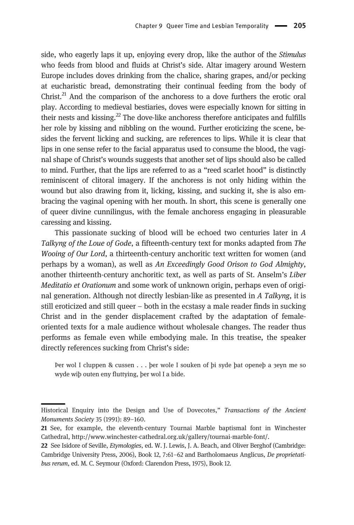side, who eagerly laps it up, enjoying every drop, like the author of the Stimulus who feeds from blood and fluids at Christ's side. Altar imagery around Western Europe includes doves drinking from the chalice, sharing grapes, and/or pecking at eucharistic bread, demonstrating their continual feeding from the body of Christ.<sup>21</sup> And the comparison of the anchoress to a dove furthers the erotic oral play. According to medieval bestiaries, doves were especially known for sitting in their nests and kissing. $^{22}$  The dove-like anchoress therefore anticipates and fulfills her role by kissing and nibbling on the wound. Further eroticizing the scene, besides the fervent licking and sucking, are references to lips. While it is clear that lips in one sense refer to the facial apparatus used to consume the blood, the vaginal shape of Christ's wounds suggests that another set of lips should also be called to mind. Further, that the lips are referred to as a "reed scarlet hood" is distinctly reminiscent of clitoral imagery. If the anchoress is not only hiding within the wound but also drawing from it, licking, kissing, and sucking it, she is also embracing the vaginal opening with her mouth. In short, this scene is generally one of queer divine cunnilingus, with the female anchoress engaging in pleasurable caressing and kissing.

This passionate sucking of blood will be echoed two centuries later in A Talkyng of the Loue of Gode, a fifteenth-century text for monks adapted from The Wooing of Our Lord, a thirteenth-century anchoritic text written for women (and perhaps by a woman), as well as An Exceedingly Good Orison to God Almighty, another thirteenth-century anchoritic text, as well as parts of St. Anselm's Liber Meditatio et Orationum and some work of unknown origin, perhaps even of original generation. Although not directly lesbian-like as presented in A Talkyng, it is still eroticized and still queer – both in the ecstasy a male reader finds in sucking Christ and in the gender displacement crafted by the adaptation of femaleoriented texts for a male audience without wholesale changes. The reader thus performs as female even while embodying male. In this treatise, the speaker directly references sucking from Christ's side:

Þer wol I cluppen & cussen . . . þer wole I souken of þi syde þat openeþ a ȝeyn me so wyde wiþ outen eny fluttying, þer wol I a bide.

Historical Enquiry into the Design and Use of Dovecotes," Transactions of the Ancient Monuments Society 35 (1991): 89–160.

<sup>21</sup> See, for example, the eleventh-century Tournai Marble baptismal font in Winchester Cathedral,<http://www.winchester-cathedral.org.uk/gallery/tournai-marble-font/>.

<sup>22</sup> See Isidore of Seville, *Etymologies*, ed. W. J. Lewis, J. A. Beach, and Oliver Berghof (Cambridge: Cambridge University Press, 2006), Book 12, 7:61–62 and Bartholomaeus Anglicus, De proprietatibus rerum, ed. M. C. Seymour (Oxford: Clarendon Press, 1975), Book 12.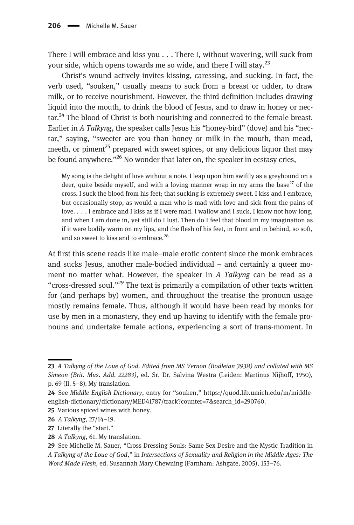There I will embrace and kiss you . . . There I, without wavering, will suck from your side, which opens towards me so wide, and there I will stay.<sup>23</sup>

Christ's wound actively invites kissing, caressing, and sucking. In fact, the verb used, "souken," usually means to suck from a breast or udder, to draw milk, or to receive nourishment. However, the third definition includes drawing liquid into the mouth, to drink the blood of Jesus, and to draw in honey or nec- $\arctan^{24}$ . The blood of Christ is both nourishing and connected to the female breast. Earlier in A Talkyng, the speaker calls Jesus his "honey-bird" (dove) and his "nectar," saying, "sweeter are you than honey or milk in the mouth, than mead, meeth, or piment<sup>25</sup> prepared with sweet spices, or any delicious liquor that may be found anywhere."<sup>26</sup> No wonder that later on, the speaker in ecstasy cries,

My song is the delight of love without a note. I leap upon him swiftly as a greyhound on a deer, quite beside myself, and with a loving manner wrap in my arms the base<sup>27</sup> of the cross. I suck the blood from his feet; that sucking is extremely sweet. I kiss and I embrace, but occasionally stop, as would a man who is mad with love and sick from the pains of love. . . . I embrace and I kiss as if I were mad. I wallow and I suck, I know not how long, and when I am done in, yet still do I lust. Then do I feel that blood in my imagination as if it were bodily warm on my lips, and the flesh of his feet, in front and in behind, so soft, and so sweet to kiss and to embrace.<sup>28</sup>

At first this scene reads like male–male erotic content since the monk embraces and sucks Jesus, another male-bodied individual – and certainly a queer moment no matter what. However, the speaker in A Talkyng can be read as a "cross-dressed soul."<sup>29</sup> The text is primarily a compilation of other texts written for (and perhaps by) women, and throughout the treatise the pronoun usage mostly remains female. Thus, although it would have been read by monks for use by men in a monastery, they end up having to identify with the female pronouns and undertake female actions, experiencing a sort of trans-moment. In

<sup>23</sup> A Talkyng of the Loue of God. Edited from MS Vernon (Bodleian 3938) and collated with MS Simeon (Brit. Mus. Add. 22283), ed. Sr. Dr. Salvina Westra (Leiden: Martinus Nijhoff, 1950), p. 69 (ll. 5–8). My translation.

<sup>24</sup> See Middle English Dictionary, entry for "souken," [https://quod.lib.umich.edu/m/middle](https://quod.lib.umich.edu/m/middle-english-dictionary/dictionary/MED41787/track%3Fcounter=7&search_id=290760)[english-dictionary/dictionary/MED41787/track?counter=7&search\\_id=290760](https://quod.lib.umich.edu/m/middle-english-dictionary/dictionary/MED41787/track%3Fcounter=7&search_id=290760).

<sup>25</sup> Various spiced wines with honey.

<sup>26</sup> A Talkyng, 27/14–19.

<sup>27</sup> Literally the "start."

<sup>28</sup> A Talkyng, 61. My translation.

<sup>29</sup> See Michelle M. Sauer, "Cross Dressing Souls: Same Sex Desire and the Mystic Tradition in A Talkyng of the Loue of God," in Intersections of Sexuality and Religion in the Middle Ages: The Word Made Flesh, ed. Susannah Mary Chewning (Farnham: Ashgate, 2005), 153–76.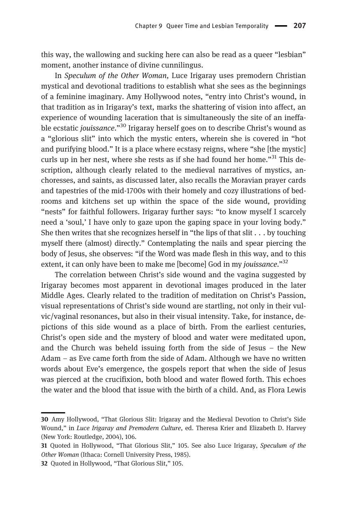this way, the wallowing and sucking here can also be read as a queer "lesbian" moment, another instance of divine cunnilingus.

In Speculum of the Other Woman, Luce Irigaray uses premodern Christian mystical and devotional traditions to establish what she sees as the beginnings of a feminine imaginary. Amy Hollywood notes, "entry into Christ's wound, in that tradition as in Irigaray's text, marks the shattering of vision into affect, an experience of wounding laceration that is simultaneously the site of an ineffable ecstatic *jouissance*."<sup>30</sup> Irigaray herself goes on to describe Christ's wound as a "glorious slit" into which the mystic enters, wherein she is covered in "hot and purifying blood." It is a place where ecstasy reigns, where "she [the mystic] curls up in her nest, where she rests as if she had found her home."<sup>31</sup> This description, although clearly related to the medieval narratives of mystics, anchoresses, and saints, as discussed later, also recalls the Moravian prayer cards and tapestries of the mid-1700s with their homely and cozy illustrations of bedrooms and kitchens set up within the space of the side wound, providing "nests" for faithful followers. Irigaray further says: "to know myself I scarcely need a 'soul,' I have only to gaze upon the gaping space in your loving body." She then writes that she recognizes herself in "the lips of that slit . . . by touching myself there (almost) directly." Contemplating the nails and spear piercing the body of Jesus, she observes: "if the Word was made flesh in this way, and to this extent, it can only have been to make me [become] God in my jouissance."<sup>32</sup>

The correlation between Christ's side wound and the vagina suggested by Irigaray becomes most apparent in devotional images produced in the later Middle Ages. Clearly related to the tradition of meditation on Christ's Passion, visual representations of Christ's side wound are startling, not only in their vulvic/vaginal resonances, but also in their visual intensity. Take, for instance, depictions of this side wound as a place of birth. From the earliest centuries, Christ's open side and the mystery of blood and water were meditated upon, and the Church was beheld issuing forth from the side of Jesus – the New Adam – as Eve came forth from the side of Adam. Although we have no written words about Eve's emergence, the gospels report that when the side of Jesus was pierced at the crucifixion, both blood and water flowed forth. This echoes the water and the blood that issue with the birth of a child. And, as Flora Lewis

<sup>30</sup> Amy Hollywood, "That Glorious Slit: Irigaray and the Medieval Devotion to Christ's Side Wound," in Luce Irigaray and Premodern Culture, ed. Theresa Krier and Elizabeth D. Harvey (New York: Routledge, 2004), 106.

<sup>31</sup> Quoted in Hollywood, "That Glorious Slit," 105. See also Luce Irigaray, Speculum of the Other Woman (Ithaca: Cornell University Press, 1985).

<sup>32</sup> Quoted in Hollywood, "That Glorious Slit," 105.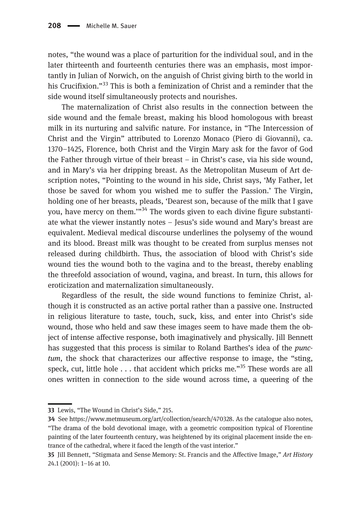notes, "the wound was a place of parturition for the individual soul, and in the later thirteenth and fourteenth centuries there was an emphasis, most importantly in Julian of Norwich, on the anguish of Christ giving birth to the world in his Crucifixion."<sup>33</sup> This is both a feminization of Christ and a reminder that the side wound itself simultaneously protects and nourishes.

The maternalization of Christ also results in the connection between the side wound and the female breast, making his blood homologous with breast milk in its nurturing and salvific nature. For instance, in "The Intercession of Christ and the Virgin" attributed to Lorenzo Monaco (Piero di Giovanni), ca. 1370–1425, Florence, both Christ and the Virgin Mary ask for the favor of God the Father through virtue of their breast – in Christ's case, via his side wound, and in Mary's via her dripping breast. As the Metropolitan Museum of Art description notes, "Pointing to the wound in his side, Christ says, 'My Father, let those be saved for whom you wished me to suffer the Passion.' The Virgin, holding one of her breasts, pleads, 'Dearest son, because of the milk that I gave you, have mercy on them.'"<sup>34</sup> The words given to each divine figure substantiate what the viewer instantly notes – Jesus's side wound and Mary's breast are equivalent. Medieval medical discourse underlines the polysemy of the wound and its blood. Breast milk was thought to be created from surplus menses not released during childbirth. Thus, the association of blood with Christ's side wound ties the wound both to the vagina and to the breast, thereby enabling the threefold association of wound, vagina, and breast. In turn, this allows for eroticization and maternalization simultaneously.

Regardless of the result, the side wound functions to feminize Christ, although it is constructed as an active portal rather than a passive one. Instructed in religious literature to taste, touch, suck, kiss, and enter into Christ's side wound, those who held and saw these images seem to have made them the object of intense affective response, both imaginatively and physically. Jill Bennett has suggested that this process is similar to Roland Barthes's idea of the *punc*tum, the shock that characterizes our affective response to image, the "sting, speck, cut, little hole  $\ldots$  that accident which pricks me."<sup>35</sup> These words are all ones written in connection to the side wound across time, a queering of the

<sup>33</sup> Lewis, "The Wound in Christ's Side," 215.

<sup>34</sup> See [https://www.metmuseum.org/art/collection/search/470328.](https://www.metmuseum.org/art/collection/search/470328) As the catalogue also notes, "The drama of the bold devotional image, with a geometric composition typical of Florentine painting of the later fourteenth century, was heightened by its original placement inside the entrance of the cathedral, where it faced the length of the vast interior."

<sup>35</sup> Jill Bennett, "Stigmata and Sense Memory: St. Francis and the Affective Image," Art History 24.1 (2001): 1–16 at 10.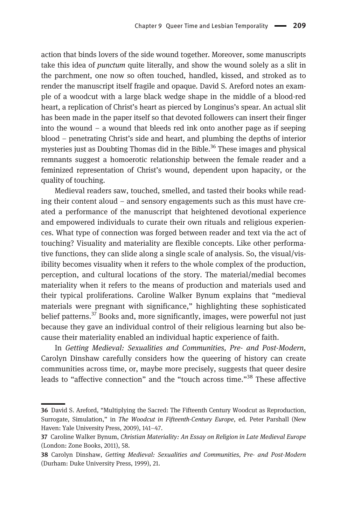action that binds lovers of the side wound together. Moreover, some manuscripts take this idea of *punctum* quite literally, and show the wound solely as a slit in the parchment, one now so often touched, handled, kissed, and stroked as to render the manuscript itself fragile and opaque. David S. Areford notes an example of a woodcut with a large black wedge shape in the middle of a blood-red heart, a replication of Christ's heart as pierced by Longinus's spear. An actual slit has been made in the paper itself so that devoted followers can insert their finger into the wound – a wound that bleeds red ink onto another page as if seeping blood – penetrating Christ's side and heart, and plumbing the depths of interior mysteries just as Doubting Thomas did in the Bible.<sup>36</sup> These images and physical remnants suggest a homoerotic relationship between the female reader and a feminized representation of Christ's wound, dependent upon hapacity, or the quality of touching.

Medieval readers saw, touched, smelled, and tasted their books while reading their content aloud – and sensory engagements such as this must have created a performance of the manuscript that heightened devotional experience and empowered individuals to curate their own rituals and religious experiences. What type of connection was forged between reader and text via the act of touching? Visuality and materiality are flexible concepts. Like other performative functions, they can slide along a single scale of analysis. So, the visual/visibility becomes visuality when it refers to the whole complex of the production, perception, and cultural locations of the story. The material/medial becomes materiality when it refers to the means of production and materials used and their typical proliferations. Caroline Walker Bynum explains that "medieval materials were pregnant with significance," highlighting these sophisticated belief patterns.<sup>37</sup> Books and, more significantly, images, were powerful not just because they gave an individual control of their religious learning but also because their materiality enabled an individual haptic experience of faith.

In Getting Medieval: Sexualities and Communities, Pre- and Post-Modern, Carolyn Dinshaw carefully considers how the queering of history can create communities across time, or, maybe more precisely, suggests that queer desire leads to "affective connection" and the "touch across time."<sup>38</sup> These affective

<sup>36</sup> David S. Areford, "Multiplying the Sacred: The Fifteenth Century Woodcut as Reproduction, Surrogate, Simulation," in The Woodcut in Fifteenth-Century Europe, ed. Peter Parshall (New Haven: Yale University Press, 2009), 141–47.

<sup>37</sup> Caroline Walker Bynum, Christian Materiality: An Essay on Religion in Late Medieval Europe (London: Zone Books, 2011), 58.

<sup>38</sup> Carolyn Dinshaw, Getting Medieval: Sexualities and Communities, Pre- and Post-Modern (Durham: Duke University Press, 1999), 21.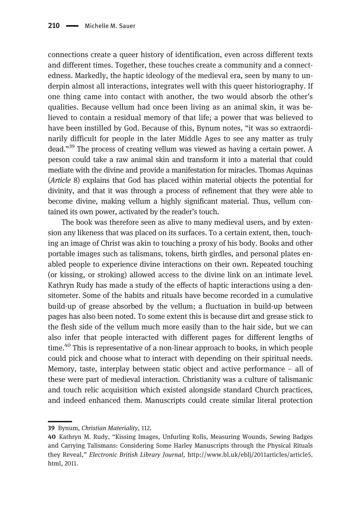connections create a queer history of identification, even across different texts and different times. Together, these touches create a community and a connectedness. Markedly, the haptic ideology of the medieval era, seen by many to underpin almost all interactions, integrates well with this queer historiography. If one thing came into contact with another, the two would absorb the other's qualities. Because vellum had once been living as an animal skin, it was believed to contain a residual memory of that life; a power that was believed to have been instilled by God. Because of this, Bynum notes, "it was so extraordinarily difficult for people in the later Middle Ages to see any matter as truly dead."<sup>39</sup> The process of creating vellum was viewed as having a certain power. A person could take a raw animal skin and transform it into a material that could mediate with the divine and provide a manifestation for miracles. Thomas Aquinas (Article 8) explains that God has placed within material objects the potential for divinity, and that it was through a process of refinement that they were able to become divine, making vellum a highly significant material. Thus, vellum contained its own power, activated by the reader's touch.

The book was therefore seen as alive to many medieval users, and by extension any likeness that was placed on its surfaces. To a certain extent, then, touching an image of Christ was akin to touching a proxy of his body. Books and other portable images such as talismans, tokens, birth girdles, and personal plates enabled people to experience divine interactions on their own. Repeated touching (or kissing, or stroking) allowed access to the divine link on an intimate level. Kathryn Rudy has made a study of the effects of haptic interactions using a densitometer. Some of the habits and rituals have become recorded in a cumulative build-up of grease absorbed by the vellum; a fluctuation in build-up between pages has also been noted. To some extent this is because dirt and grease stick to the flesh side of the vellum much more easily than to the hair side, but we can also infer that people interacted with different pages for different lengths of time.<sup>40</sup> This is representative of a non-linear approach to books, in which people could pick and choose what to interact with depending on their spiritual needs. Memory, taste, interplay between static object and active performance – all of these were part of medieval interaction. Christianity was a culture of talismanic and touch relic acquisition which existed alongside standard Church practices, and indeed enhanced them. Manuscripts could create similar literal protection

<sup>39</sup> Bynum, Christian Materiality, 112.

<sup>40</sup> Kathryn M. Rudy, "Kissing Images, Unfurling Rolls, Measuring Wounds, Sewing Badges and Carrying Talismans: Considering Some Harley Manuscripts through the Physical Rituals they Reveal," Electronic British Library Journal, [http://www.bl.uk/eblj/2011articles/article5.](http://www.bl.uk/eblj/2011articles/article5.html) [html,](http://www.bl.uk/eblj/2011articles/article5.html) 2011.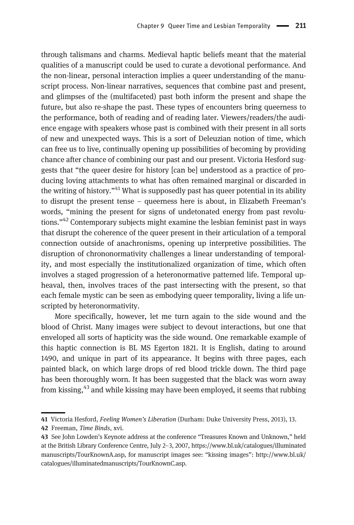through talismans and charms. Medieval haptic beliefs meant that the material qualities of a manuscript could be used to curate a devotional performance. And the non-linear, personal interaction implies a queer understanding of the manuscript process. Non-linear narratives, sequences that combine past and present, and glimpses of the (multifaceted) past both inform the present and shape the future, but also re-shape the past. These types of encounters bring queerness to the performance, both of reading and of reading later. Viewers/readers/the audience engage with speakers whose past is combined with their present in all sorts of new and unexpected ways. This is a sort of Deleuzian notion of time, which can free us to live, continually opening up possibilities of becoming by providing chance after chance of combining our past and our present. Victoria Hesford suggests that "the queer desire for history [can be] understood as a practice of producing loving attachments to what has often remained marginal or discarded in the writing of history."<sup>41</sup> What is supposedly past has queer potential in its ability to disrupt the present tense – queerness here is about, in Elizabeth Freeman's words, "mining the present for signs of undetonated energy from past revolutions."<sup>42</sup> Contemporary subjects might examine the lesbian feminist past in ways that disrupt the coherence of the queer present in their articulation of a temporal connection outside of anachronisms, opening up interpretive possibilities. The disruption of chrononormativity challenges a linear understanding of temporality, and most especially the institutionalized organization of time, which often involves a staged progression of a heteronormative patterned life. Temporal upheaval, then, involves traces of the past intersecting with the present, so that each female mystic can be seen as embodying queer temporality, living a life unscripted by heteronormativity.

More specifically, however, let me turn again to the side wound and the blood of Christ. Many images were subject to devout interactions, but one that enveloped all sorts of hapticity was the side wound. One remarkable example of this haptic connection is BL MS Egerton 1821. It is English, dating to around 1490, and unique in part of its appearance. It begins with three pages, each painted black, on which large drops of red blood trickle down. The third page has been thoroughly worn. It has been suggested that the black was worn away from kissing, $43$  and while kissing may have been employed, it seems that rubbing

<sup>41</sup> Victoria Hesford, Feeling Women's Liberation (Durham: Duke University Press, 2013), 13.

<sup>42</sup> Freeman, Time Binds, xvi.

<sup>43</sup> See John Lowden's Keynote address at the conference "Treasures Known and Unknown," held at the British Library Conference Centre, July 2–3, 2007, [https://www.bl.uk/catalogues/illuminated](https://www.bl.uk/catalogues/illuminatedmanuscripts/TourKnownA.asp) [manuscripts/TourKnownA.asp](https://www.bl.uk/catalogues/illuminatedmanuscripts/TourKnownA.asp), for manuscript images see: "kissing images": [http://www.bl.uk/](http://www.bl.uk/catalogues/illuminatedmanuscripts/TourKnownC.asp) [catalogues/illuminatedmanuscripts/TourKnownC.asp.](http://www.bl.uk/catalogues/illuminatedmanuscripts/TourKnownC.asp)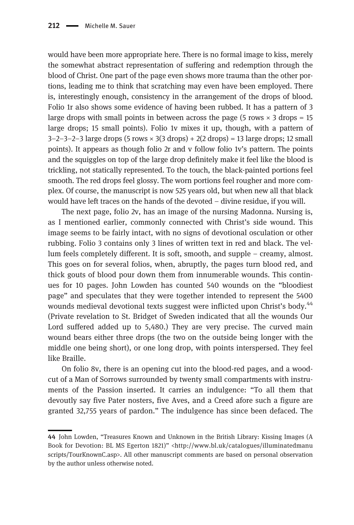would have been more appropriate here. There is no formal image to kiss, merely the somewhat abstract representation of suffering and redemption through the blood of Christ. One part of the page even shows more trauma than the other portions, leading me to think that scratching may even have been employed. There is, interestingly enough, consistency in the arrangement of the drops of blood. Folio 1r also shows some evidence of having been rubbed. It has a pattern of 3 large drops with small points in between across the page (5 rows  $\times$  3 drops = 15 large drops; 15 small points). Folio 1v mixes it up, though, with a pattern of  $3-2-3-2-3$  large drops  $(5 \text{ rows} \times 3(3 \text{ drops}) + 2(2 \text{ drops}) = 13$  large drops; 12 small points). It appears as though folio 2r and v follow folio 1v's pattern. The points and the squiggles on top of the large drop definitely make it feel like the blood is trickling, not statically represented. To the touch, the black-painted portions feel smooth. The red drops feel glossy. The worn portions feel rougher and more complex. Of course, the manuscript is now 525 years old, but when new all that black would have left traces on the hands of the devoted – divine residue, if you will.

The next page, folio 2v, has an image of the nursing Madonna. Nursing is, as I mentioned earlier, commonly connected with Christ's side wound. This image seems to be fairly intact, with no signs of devotional osculation or other rubbing. Folio 3 contains only 3 lines of written text in red and black. The vellum feels completely different. It is soft, smooth, and supple – creamy, almost. This goes on for several folios, when, abruptly, the pages turn blood red, and thick gouts of blood pour down them from innumerable wounds. This continues for 10 pages. John Lowden has counted 540 wounds on the "bloodiest page" and speculates that they were together intended to represent the 5400 wounds medieval devotional texts suggest were inflicted upon Christ's body.<sup>44</sup> (Private revelation to St. Bridget of Sweden indicated that all the wounds Our Lord suffered added up to 5,480.) They are very precise. The curved main wound bears either three drops (the two on the outside being longer with the middle one being short), or one long drop, with points interspersed. They feel like Braille.

On folio 8v, there is an opening cut into the blood-red pages, and a woodcut of a Man of Sorrows surrounded by twenty small compartments with instruments of the Passion inserted. It carries an indulgence: "To all them that devoutly say five Pater nosters, five Aves, and a Creed afore such a figure are granted 32,755 years of pardon." The indulgence has since been defaced. The

<sup>44</sup> John Lowden, "Treasures Known and Unknown in the British Library: Kissing Images (A Book for Devotion: BL MS Egerton 1821)" <[http://www.bl.uk/catalogues/illuminatedmanu](http://www.bl.uk/catalogues/illuminatedmanuscripts/TourKnownC.asp) [scripts/TourKnownC.asp](http://www.bl.uk/catalogues/illuminatedmanuscripts/TourKnownC.asp)>. All other manuscript comments are based on personal observation by the author unless otherwise noted.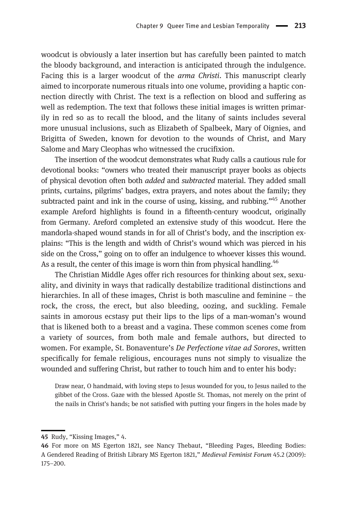woodcut is obviously a later insertion but has carefully been painted to match the bloody background, and interaction is anticipated through the indulgence. Facing this is a larger woodcut of the *arma Christi*. This manuscript clearly aimed to incorporate numerous rituals into one volume, providing a haptic connection directly with Christ. The text is a reflection on blood and suffering as well as redemption. The text that follows these initial images is written primarily in red so as to recall the blood, and the litany of saints includes several more unusual inclusions, such as Elizabeth of Spalbeek, Mary of Oignies, and Brigitta of Sweden, known for devotion to the wounds of Christ, and Mary Salome and Mary Cleophas who witnessed the crucifixion.

The insertion of the woodcut demonstrates what Rudy calls a cautious rule for devotional books: "owners who treated their manuscript prayer books as objects of physical devotion often both added and subtracted material. They added small prints, curtains, pilgrims' badges, extra prayers, and notes about the family; they subtracted paint and ink in the course of using, kissing, and rubbing."<sup>45</sup> Another example Areford highlights is found in a fifteenth-century woodcut, originally from Germany. Areford completed an extensive study of this woodcut. Here the mandorla-shaped wound stands in for all of Christ's body, and the inscription explains: "This is the length and width of Christ's wound which was pierced in his side on the Cross," going on to offer an indulgence to whoever kisses this wound. As a result, the center of this image is worn thin from physical handling.<sup>46</sup>

The Christian Middle Ages offer rich resources for thinking about sex, sexuality, and divinity in ways that radically destabilize traditional distinctions and hierarchies. In all of these images, Christ is both masculine and feminine – the rock, the cross, the erect, but also bleeding, oozing, and suckling. Female saints in amorous ecstasy put their lips to the lips of a man-woman's wound that is likened both to a breast and a vagina. These common scenes come from a variety of sources, from both male and female authors, but directed to women. For example, St. Bonaventure's *De Perfectione vitae ad Sorores*, written specifically for female religious, encourages nuns not simply to visualize the wounded and suffering Christ, but rather to touch him and to enter his body:

Draw near, O handmaid, with loving steps to Jesus wounded for you, to Jesus nailed to the gibbet of the Cross. Gaze with the blessed Apostle St. Thomas, not merely on the print of the nails in Christ's hands; be not satisfied with putting your fingers in the holes made by

<sup>45</sup> Rudy, "Kissing Images," 4.

<sup>46</sup> For more on MS Egerton 1821, see Nancy Thebaut, "Bleeding Pages, Bleeding Bodies: A Gendered Reading of British Library MS Egerton 1821," Medieval Feminist Forum 45.2 (2009): 175–200.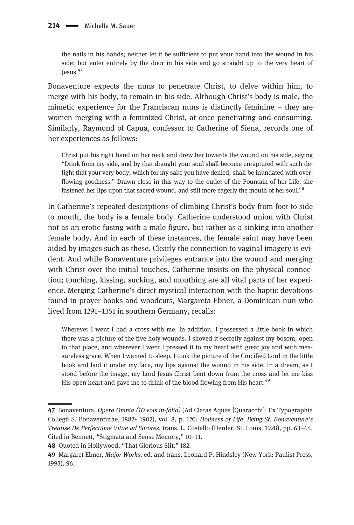the nails in his hands; neither let it be sufficient to put your hand into the wound in his side; but enter entirely by the door in his side and go straight up to the very heart of Jesus.47

Bonaventure expects the nuns to penetrate Christ, to delve within him, to merge with his body, to remain in his side. Although Christ's body is male, the mimetic experience for the Franciscan nuns is distinctly feminine – they are women merging with a feminized Christ, at once penetrating and consuming. Similarly, Raymond of Capua, confessor to Catherine of Siena, records one of her experiences as follows:

Christ put his right hand on her neck and drew her towards the wound on his side, saying "Drink from my side, and by that draught your soul shall become enraptured with such delight that your very body, which for my sake you have denied, shall be inundated with overflowing goodness." Drawn close in this way to the outlet of the Fountain of her Life, she fastened her lips upon that sacred wound, and still more eagerly the mouth of her soul.<sup>48</sup>

In Catherine's repeated descriptions of climbing Christ's body from foot to side to mouth, the body is a female body. Catherine understood union with Christ not as an erotic fusing with a male figure, but rather as a sinking into another female body. And in each of these instances, the female saint may have been aided by images such as these. Clearly the connection to vaginal imagery is evident. And while Bonaventure privileges entrance into the wound and merging with Christ over the initial touches, Catherine insists on the physical connection; touching, kissing, sucking, and mouthing are all vital parts of her experience. Merging Catherine's direct mystical interaction with the haptic devotions found in prayer books and woodcuts, Margareta Ebner, a Dominican nun who lived from 1291–1351 in southern Germany, recalls:

Wherever I went I had a cross with me. In addition, I possessed a little book in which there was a picture of the five holy wounds. I shoved it secretly against my bosom, open to that place, and wherever I went I pressed it to my heart with great joy and with measureless grace. When I wanted to sleep, I took the picture of the Crucified Lord in the little book and laid it under my face, my lips against the wound in his side. In a dream, as I stood before the image, my Lord Jesus Christ bent down from the cross and let me kiss His open heart and gave me to drink of the blood flowing from His heart.<sup>49</sup>

<sup>47</sup> Bonaventura, Opera Omnia (10 vols in-folio) (Ad Claras Aquas [Quaracchi]: Ex Typographia Collegii S. Bonaventurae. 1882± 1902), vol. 8, p. 120; Holiness of Life, Being St. Bonaventure's Treatise De Perfectione Vitae ad Sorores, trans. L. Costello (Herder: St. Louis, 1928), pp. 63–64. Cited in Bennett, "Stigmata and Sense Memory," 10–11.

<sup>48</sup> Quoted in Hollywood, "That Glorious Slit," 182.

<sup>49</sup> Margaret Ebner, Major Works, ed. and trans. Leonard P. Hindsley (New York: Paulist Press, 1993), 96.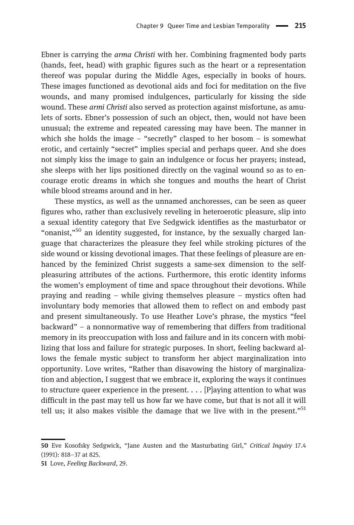Ebner is carrying the arma Christi with her. Combining fragmented body parts (hands, feet, head) with graphic figures such as the heart or a representation thereof was popular during the Middle Ages, especially in books of hours. These images functioned as devotional aids and foci for meditation on the five wounds, and many promised indulgences, particularly for kissing the side wound. These *armi Christi* also served as protection against misfortune, as amulets of sorts. Ebner's possession of such an object, then, would not have been unusual; the extreme and repeated caressing may have been. The manner in which she holds the image – "secretly" clasped to her bosom – is somewhat erotic, and certainly "secret" implies special and perhaps queer. And she does not simply kiss the image to gain an indulgence or focus her prayers; instead, she sleeps with her lips positioned directly on the vaginal wound so as to encourage erotic dreams in which she tongues and mouths the heart of Christ while blood streams around and in her.

These mystics, as well as the unnamed anchoresses, can be seen as queer figures who, rather than exclusively reveling in heteroerotic pleasure, slip into a sexual identity category that Eve Sedgwick identifies as the masturbator or "onanist,"<sup>50</sup> an identity suggested, for instance, by the sexually charged language that characterizes the pleasure they feel while stroking pictures of the side wound or kissing devotional images. That these feelings of pleasure are enhanced by the feminized Christ suggests a same-sex dimension to the selfpleasuring attributes of the actions. Furthermore, this erotic identity informs the women's employment of time and space throughout their devotions. While praying and reading – while giving themselves pleasure – mystics often had involuntary body memories that allowed them to reflect on and embody past and present simultaneously. To use Heather Love's phrase, the mystics "feel backward" – a nonnormative way of remembering that differs from traditional memory in its preoccupation with loss and failure and in its concern with mobilizing that loss and failure for strategic purposes. In short, feeling backward allows the female mystic subject to transform her abject marginalization into opportunity. Love writes, "Rather than disavowing the history of marginalization and abjection, I suggest that we embrace it, exploring the ways it continues to structure queer experience in the present.  $\ldots$  [P]aying attention to what was difficult in the past may tell us how far we have come, but that is not all it will tell us; it also makes visible the damage that we live with in the present."<sup>51</sup>

<sup>50</sup> Eve Kosofsky Sedgwick, "Jane Austen and the Masturbating Girl," Critical Inquiry 17.4 (1991): 818–37 at 825.

<sup>51</sup> Love, Feeling Backward, 29.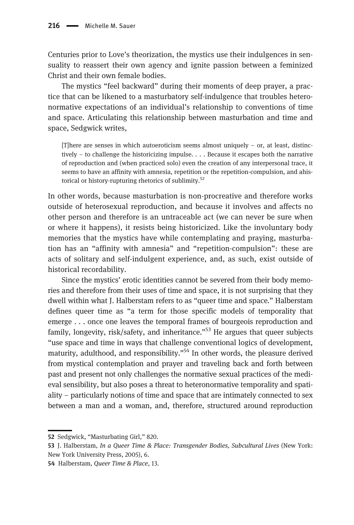Centuries prior to Love's theorization, the mystics use their indulgences in sensuality to reassert their own agency and ignite passion between a feminized Christ and their own female bodies.

The mystics "feel backward" during their moments of deep prayer, a practice that can be likened to a masturbatory self-indulgence that troubles heteronormative expectations of an individual's relationship to conventions of time and space. Articulating this relationship between masturbation and time and space, Sedgwick writes,

 $[T]$ here are senses in which autoeroticism seems almost uniquely – or, at least, distinctively – to challenge the historicizing impulse. . . . Because it escapes both the narrative of reproduction and (when practiced solo) even the creation of any interpersonal trace, it seems to have an affinity with amnesia, repetition or the repetition-compulsion, and ahistorical or history-rupturing rhetorics of sublimity.<sup>52</sup>

In other words, because masturbation is non-procreative and therefore works outside of heterosexual reproduction, and because it involves and affects no other person and therefore is an untraceable act (we can never be sure when or where it happens), it resists being historicized. Like the involuntary body memories that the mystics have while contemplating and praying, masturbation has an "affinity with amnesia" and "repetition-compulsion": these are acts of solitary and self-indulgent experience, and, as such, exist outside of historical recordability.

Since the mystics' erotic identities cannot be severed from their body memories and therefore from their uses of time and space, it is not surprising that they dwell within what J. Halberstam refers to as "queer time and space." Halberstam defines queer time as "a term for those specific models of temporality that emerge . . . once one leaves the temporal frames of bourgeois reproduction and family, longevity, risk/safety, and inheritance."<sup>53</sup> He argues that queer subjects "use space and time in ways that challenge conventional logics of development, maturity, adulthood, and responsibility."<sup>54</sup> In other words, the pleasure derived from mystical contemplation and prayer and traveling back and forth between past and present not only challenges the normative sexual practices of the medieval sensibility, but also poses a threat to heteronormative temporality and spatiality – particularly notions of time and space that are intimately connected to sex between a man and a woman, and, therefore, structured around reproduction

<sup>52</sup> Sedgwick, "Masturbating Girl," 820.

<sup>53</sup> J. Halberstam, *In a Queer Time & Place: Transgender Bodies, Subcultural Lives* (New York: New York University Press, 2005), 6.

<sup>54</sup> Halberstam, Queer Time & Place, 13.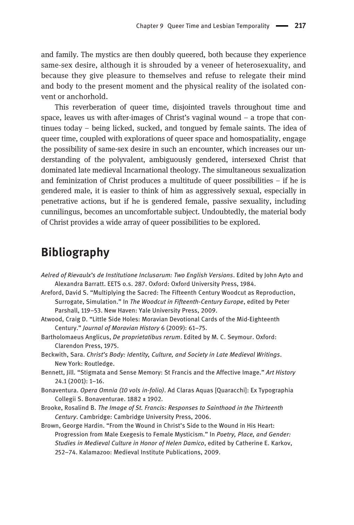and family. The mystics are then doubly queered, both because they experience same-sex desire, although it is shrouded by a veneer of heterosexuality, and because they give pleasure to themselves and refuse to relegate their mind and body to the present moment and the physical reality of the isolated convent or anchorhold.

This reverberation of queer time, disjointed travels throughout time and space, leaves us with after-images of Christ's vaginal wound  $-$  a trope that continues today – being licked, sucked, and tongued by female saints. The idea of queer time, coupled with explorations of queer space and homospatiality, engage the possibility of same-sex desire in such an encounter, which increases our understanding of the polyvalent, ambiguously gendered, intersexed Christ that dominated late medieval Incarnational theology. The simultaneous sexualization and feminization of Christ produces a multitude of queer possibilities – if he is gendered male, it is easier to think of him as aggressively sexual, especially in penetrative actions, but if he is gendered female, passive sexuality, including cunnilingus, becomes an uncomfortable subject. Undoubtedly, the material body of Christ provides a wide array of queer possibilities to be explored.

## Bibliography

Aelred of Rievaulx's de Institutione Inclusarum: Two English Versions. Edited by John Ayto and Alexandra Barratt. EETS o.s. 287. Oxford: Oxford University Press, 1984.

Areford, David S. "Multiplying the Sacred: The Fifteenth Century Woodcut as Reproduction, Surrogate, Simulation." In The Woodcut in Fifteenth-Century Europe, edited by Peter Parshall, 119–53. New Haven: Yale University Press, 2009.

- Atwood, Craig D. "Little Side Holes: Moravian Devotional Cards of the Mid-Eighteenth Century." Journal of Moravian History 6 (2009): 61–75.
- Bartholomaeus Anglicus, De proprietatibus rerum. Edited by M. C. Seymour. Oxford: Clarendon Press, 1975.
- Beckwith, Sara. Christ's Body: Identity, Culture, and Society in Late Medieval Writings. New York: Routledge.
- Bennett, Jill. "Stigmata and Sense Memory: St Francis and the Affective Image." Art History 24.1 (2001): 1–16.
- Bonaventura. Opera Omnia (10 vols in-folio). Ad Claras Aquas [Quaracchi]: Ex Typographia Collegii S. Bonaventurae. 1882 ± 1902.
- Brooke, Rosalind B. The Image of St. Francis: Responses to Sainthood in the Thirteenth Century. Cambridge: Cambridge University Press, 2006.
- Brown, George Hardin. "From the Wound in Christ's Side to the Wound in His Heart: Progression from Male Exegesis to Female Mysticism." In Poetry, Place, and Gender: Studies in Medieval Culture in Honor of Helen Damico, edited by Catherine E. Karkov, 252–74. Kalamazoo: Medieval Institute Publications, 2009.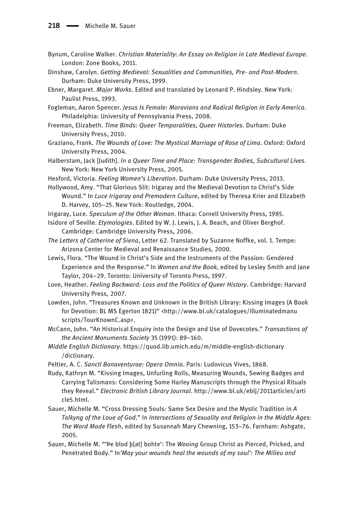- Bynum, Caroline Walker. Christian Materiality: An Essay on Religion in Late Medieval Europe. London: Zone Books, 2011.
- Dinshaw, Carolyn. Getting Medieval: Sexualities and Communities, Pre- and Post-Modern. Durham: Duke University Press, 1999.
- Ebner, Margaret. Major Works. Edited and translated by Leonard P. Hindsley. New York: Paulist Press, 1993.
- Fogleman, Aaron Spencer. Jesus Is Female: Moravians and Radical Religion in Early America. Philadelphia: University of Pennsylvania Press, 2008.
- Freeman, Elizabeth. Time Binds: Queer Temporalities, Queer Histories. Durham: Duke University Press, 2010.
- Graziano, Frank. The Wounds of Love: The Mystical Marriage of Rose of Lima. Oxford: Oxford University Press, 2004.
- Halberstam, Jack [Judith]. In a Queer Time and Place: Transgender Bodies, Subcultural Lives. New York: New York University Press, 2005.
- Hesford, Victoria. Feeling Women's Liberation. Durham: Duke University Press, 2013.
- Hollywood, Amy. "That Glorious Slit: Irigaray and the Medieval Devotion to Christ's Side Wound." In Luce Irigaray and Premodern Culture, edited by Theresa Krier and Elizabeth D. Harvey, 105–25. New York: Routledge, 2004.
- Irigaray, Luce. Speculum of the Other Woman. Ithaca: Cornell University Press, 1985.
- Isidore of Seville. Etymologies. Edited by W. J. Lewis, J. A. Beach, and Oliver Berghof. Cambridge: Cambridge University Press, 2006.
- The Letters of Catherine of Siena, Letter 62. Translated by Suzanne Noffke, vol. 1. Tempe: Arizona Center for Medieval and Renaissance Studies, 2000.
- Lewis, Flora. "The Wound in Christ's Side and the Instruments of the Passion: Gendered Experience and the Response." In Women and the Book, edited by Lesley Smith and Jane Taylor, 204–29. Toronto: University of Toronto Press, 1997.
- Love, Heather. Feeling Backward: Loss and the Politics of Queer History. Cambridge: Harvard University Press, 2007.
- Lowden, John. "Treasures Known and Unknown in the British Library: Kissing Images (A Book for Devotion: BL MS Egerton 1821)" <[http://www.bl.uk/catalogues/illuminatedmanu](http://www.bl.uk/catalogues/illuminatedmanuscripts/TourKnownC.asp) [scripts/TourKnownC.asp](http://www.bl.uk/catalogues/illuminatedmanuscripts/TourKnownC.asp)>.
- McCann, John. "An Historical Enquiry into the Design and Use of Dovecotes." Transactions of the Ancient Monuments Society 35 (1991): 89–160.
- Middle English Dictionary. [https://quod.lib.umich.edu/m/middle-english-dictionary](https://quod.lib.umich.edu/m/middle-english-dictionary/dictionary) [/dictionary](https://quod.lib.umich.edu/m/middle-english-dictionary/dictionary).
- Peltier, A. C. Sancti Bonaventurae: Opera Omnia. Paris: Ludovicus Vives, 1868.
- Rudy, Kathryn M. "Kissing Images, Unfurling Rolls, Measuring Wounds, Sewing Badges and Carrying Talismans: Considering Some Harley Manuscripts through the Physical Rituals they Reveal." Electronic British Library Journal. [http://www.bl.uk/eblj/2011articles/arti](http://www.bl.uk/eblj/2011articles/article5.html) [cle5.html.](http://www.bl.uk/eblj/2011articles/article5.html)
- Sauer, Michelle M. "Cross Dressing Souls: Same Sex Desire and the Mystic Tradition in A Talkyng of the Loue of God." In Intersections of Sexuality and Religion in the Middle Ages: The Word Made Flesh, edited by Susannah Mary Chewning, 153–76. Farnham: Ashgate, 2005.
- Sauer, Michelle M. "'Pe blod b[at] bohte': The *Wooing* Group Christ as Pierced, Pricked, and Penetrated Body." In'May your wounds heal the wounds of my soul': The Milieu and